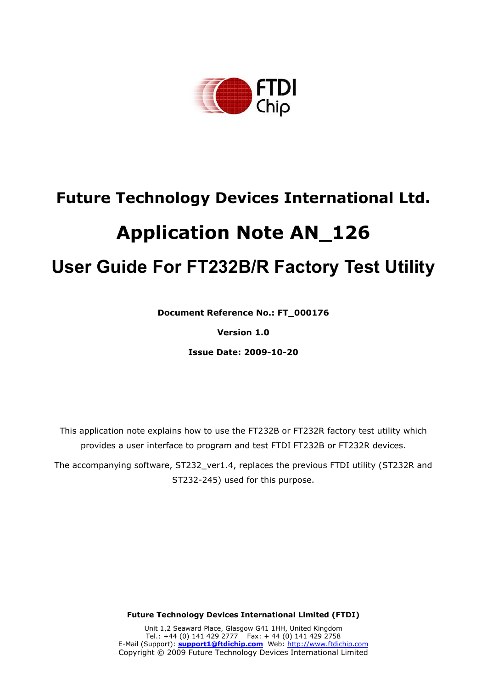

# **Future Technology Devices International Ltd.**

# **Application Note AN\_126**

# **User Guide For FT232B/R Factory Test Utility**

**Document Reference No.: FT\_000176** 

**Version 1.0** 

**Issue Date: 2009-10-20**

This application note explains how to use the FT232B or FT232R factory test utility which provides a user interface to program and test FTDI FT232B or FT232R devices.

The accompanying software, ST232\_ver1.4, replaces the previous FTDI utility (ST232R and ST232-245) used for this purpose.

**Future Technology Devices International Limited (FTDI)** 

Unit 1,2 Seaward Place, Glasgow G41 1HH, United Kingdom Tel.: +44 (0) 141 429 2777 Fax: + 44 (0) 141 429 2758 E-Mail (Support): **support1@ftdichip.com** Web: http://www.ftdichip.com Copyright © 2009 Future Technology Devices International Limited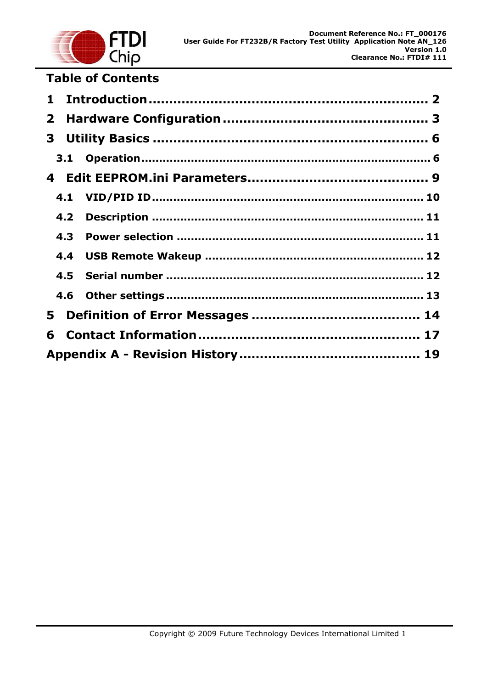

# **Table of Contents**

| $\mathbf{1}$ |     |  |
|--------------|-----|--|
| $\mathbf{2}$ |     |  |
|              |     |  |
|              |     |  |
|              |     |  |
|              |     |  |
|              | 4.2 |  |
|              | 4.3 |  |
|              |     |  |
|              |     |  |
|              |     |  |
| 5            |     |  |
| 6            |     |  |
|              |     |  |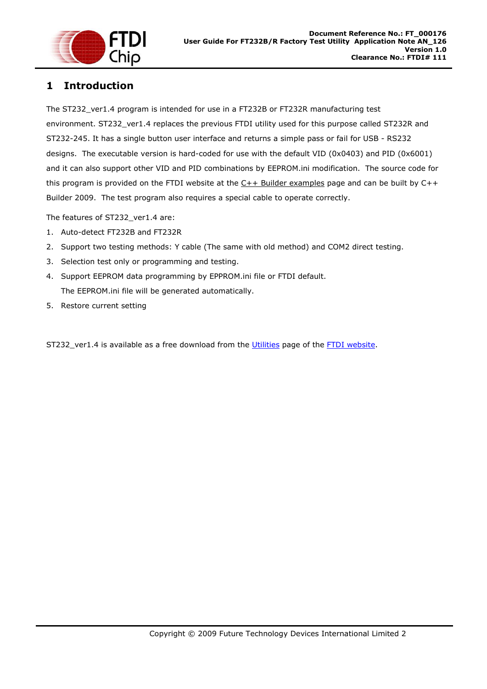

# **1 Introduction**

The ST232\_ver1.4 program is intended for use in a FT232B or FT232R manufacturing test environment. ST232\_ver1.4 replaces the previous FTDI utility used for this purpose called ST232R and ST232-245. It has a single button user interface and returns a simple pass or fail for USB - RS232 designs. The executable version is hard-coded for use with the default VID (0x0403) and PID (0x6001) and it can also support other VID and PID combinations by EEPROM.ini modification. The source code for this program is provided on the FTDI website at the  $C++$  Builder examples page and can be built by  $C++$ Builder 2009. The test program also requires a special cable to operate correctly.

The features of ST232\_ver1.4 are:

- 1. Auto-detect FT232B and FT232R
- 2. Support two testing methods: Y cable (The same with old method) and COM2 direct testing.
- 3. Selection test only or programming and testing.
- 4. Support EEPROM data programming by EPPROM.ini file or FTDI default. The EEPROM.ini file will be generated automatically.
- 5. Restore current setting

ST232\_ver1.4 is available as a free download from the Utilities page of the FTDI website.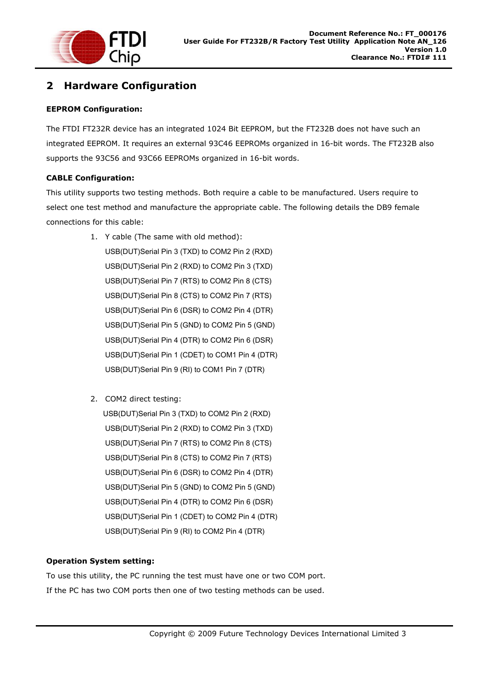

# **2 Hardware Configuration**

## **EEPROM Configuration:**

The FTDI FT232R device has an integrated 1024 Bit EEPROM, but the FT232B does not have such an integrated EEPROM. It requires an external 93C46 EEPROMs organized in 16-bit words. The FT232B also supports the 93C56 and 93C66 EEPROMs organized in 16-bit words.

## **CABLE Configuration:**

This utility supports two testing methods. Both require a cable to be manufactured. Users require to select one test method and manufacture the appropriate cable. The following details the DB9 female connections for this cable:

- 1. Y cable (The same with old method): USB(DUT)Serial Pin 3 (TXD) to COM2 Pin 2 (RXD) USB(DUT)Serial Pin 2 (RXD) to COM2 Pin 3 (TXD) USB(DUT)Serial Pin 7 (RTS) to COM2 Pin 8 (CTS) USB(DUT)Serial Pin 8 (CTS) to COM2 Pin 7 (RTS) USB(DUT)Serial Pin 6 (DSR) to COM2 Pin 4 (DTR) USB(DUT)Serial Pin 5 (GND) to COM2 Pin 5 (GND) USB(DUT)Serial Pin 4 (DTR) to COM2 Pin 6 (DSR) USB(DUT)Serial Pin 1 (CDET) to COM1 Pin 4 (DTR) USB(DUT)Serial Pin 9 (RI) to COM1 Pin 7 (DTR)
- 2. COM2 direct testing:

 USB(DUT)Serial Pin 3 (TXD) to COM2 Pin 2 (RXD) USB(DUT)Serial Pin 2 (RXD) to COM2 Pin 3 (TXD) USB(DUT)Serial Pin 7 (RTS) to COM2 Pin 8 (CTS) USB(DUT)Serial Pin 8 (CTS) to COM2 Pin 7 (RTS) USB(DUT)Serial Pin 6 (DSR) to COM2 Pin 4 (DTR) USB(DUT)Serial Pin 5 (GND) to COM2 Pin 5 (GND) USB(DUT)Serial Pin 4 (DTR) to COM2 Pin 6 (DSR) USB(DUT)Serial Pin 1 (CDET) to COM2 Pin 4 (DTR) USB(DUT)Serial Pin 9 (RI) to COM2 Pin 4 (DTR)

### **Operation System setting:**

To use this utility, the PC running the test must have one or two COM port. If the PC has two COM ports then one of two testing methods can be used.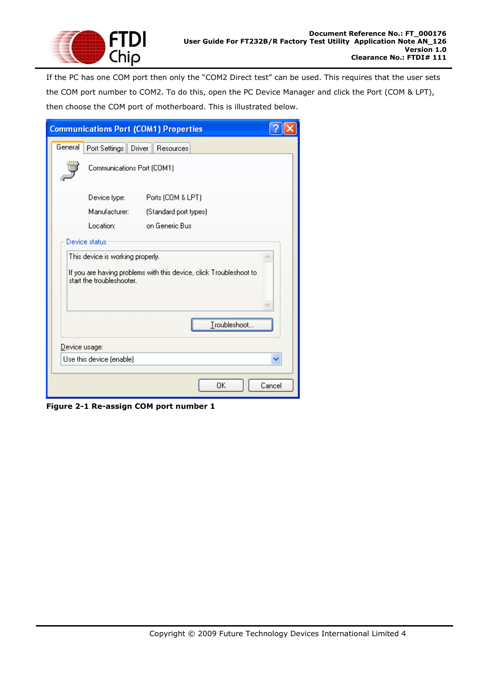

If the PC has one COM port then only the "COM2 Direct test" can be used. This requires that the user sets the COM port number to COM2. To do this, open the PC Device Manager and click the Port (COM & LPT), then choose the COM port of motherboard. This is illustrated below.

| <b>Communications Port (COM1) Properties</b> |                                                                                                                                     |                       |        |  |  |
|----------------------------------------------|-------------------------------------------------------------------------------------------------------------------------------------|-----------------------|--------|--|--|
| General                                      | Port Settings Driver<br><b>Resources</b>                                                                                            |                       |        |  |  |
|                                              | Communications Port (COM1)                                                                                                          |                       |        |  |  |
|                                              | Device type:                                                                                                                        | Ports (COM & LPT)     |        |  |  |
|                                              | Manufacturer:                                                                                                                       | (Standard port types) |        |  |  |
|                                              | Location:                                                                                                                           | on Generic Bus        |        |  |  |
|                                              | Device status                                                                                                                       |                       |        |  |  |
|                                              | This device is working properly.<br>If you are having problems with this device, click Troubleshoot to<br>start the troubleshooter. |                       |        |  |  |
| Troubleshoot.                                |                                                                                                                                     |                       |        |  |  |
| Device usage:                                |                                                                                                                                     |                       |        |  |  |
| Use this device (enable)                     |                                                                                                                                     |                       |        |  |  |
|                                              |                                                                                                                                     | OK                    | Cancel |  |  |

**Figure 2-1 Re-assign COM port number 1**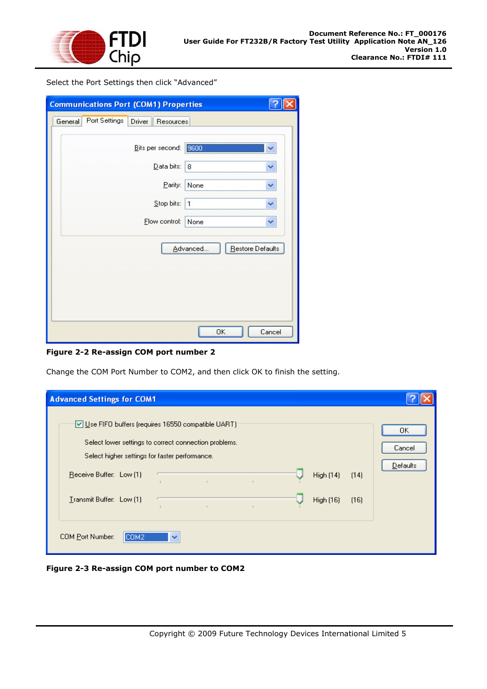

Select the Port Settings then click "Advanced"

| <b>Communications Port (COM1) Properties</b> |               |                     |                              |        |
|----------------------------------------------|---------------|---------------------|------------------------------|--------|
| General                                      | Port Settings | Driver<br>Resources |                              |        |
|                                              |               | Bits per second:    | 9600                         |        |
|                                              |               | Data bits:          | 8                            |        |
|                                              |               | Parity:             | None                         | v      |
|                                              |               | Stop bits:          | 1                            | ×      |
|                                              |               | Elow control:       | None                         | ▽      |
|                                              |               |                     | Advanced<br>Restore Defaults |        |
|                                              |               |                     | OK                           | Cancel |

**Figure 2-2 Re-assign COM port number 2** 

Change the COM Port Number to COM2, and then click OK to finish the setting.

| <b>Advanced Settings for COM1</b>                                                                                                                                                                    |                                 |
|------------------------------------------------------------------------------------------------------------------------------------------------------------------------------------------------------|---------------------------------|
| Use FIFO buffers (requires 16550 compatible UART)<br>Select lower settings to correct connection problems.<br>Select higher settings for faster performance.<br>Receive Buffer: Low (1)<br>High (14) | OΚ<br>Cancel<br><b>Defaults</b> |
| (14)<br>$\mathbb{R}^n$<br>Transmit Buffer: Low (1)<br>High (16)<br>(16)<br>$\mathbf{r}$                                                                                                              |                                 |
| COM Port Number:<br>COM2<br>$\checkmark$                                                                                                                                                             |                                 |

**Figure 2-3 Re-assign COM port number to COM2**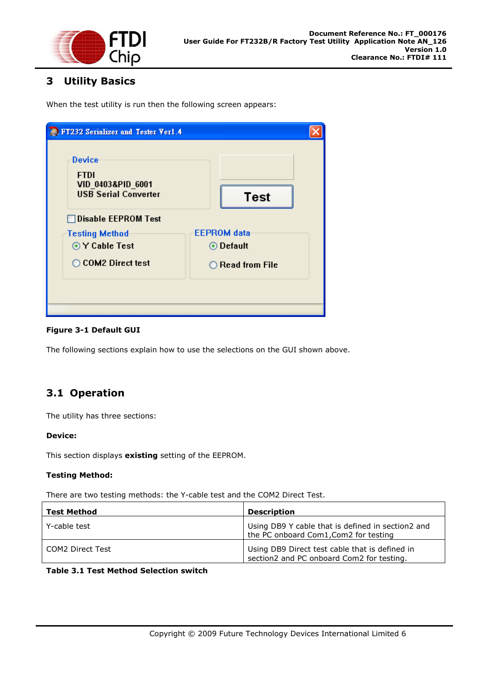

## **3 Utility Basics**

When the test utility is run then the following screen appears:

| <b>E.</b> FT232 Serializer and Tester Ver1.4                                     |                           |
|----------------------------------------------------------------------------------|---------------------------|
| <b>Device</b><br><b>FTDI</b><br>VID 0403&PID 6001<br><b>USB Serial Converter</b> | <b>Test</b>               |
| $\Box$ Disable <code>EEPROM</code> Test                                          |                           |
| <b>Testing Method</b>                                                            | <b>EEPROM</b> data        |
| ⊙ Y Cable Test                                                                   | ⊙ Default                 |
| ◯ COM2 Direct test                                                               | $\bigcirc$ Read from File |
|                                                                                  |                           |
|                                                                                  |                           |

### **Figure 3-1 Default GUI**

The following sections explain how to use the selections on the GUI shown above.

# **3.1 Operation**

The utility has three sections:

### **Device:**

This section displays **existing** setting of the EEPROM.

### **Testing Method:**

There are two testing methods: the Y-cable test and the COM2 Direct Test.

| <b>Test Method</b> | <b>Description</b>                                                                          |
|--------------------|---------------------------------------------------------------------------------------------|
| Y-cable test       | Using DB9 Y cable that is defined in section2 and<br>the PC onboard Com1, Com2 for testing  |
| COM2 Direct Test   | Using DB9 Direct test cable that is defined in<br>section2 and PC onboard Com2 for testing. |

## **Table 3.1 Test Method Selection switch**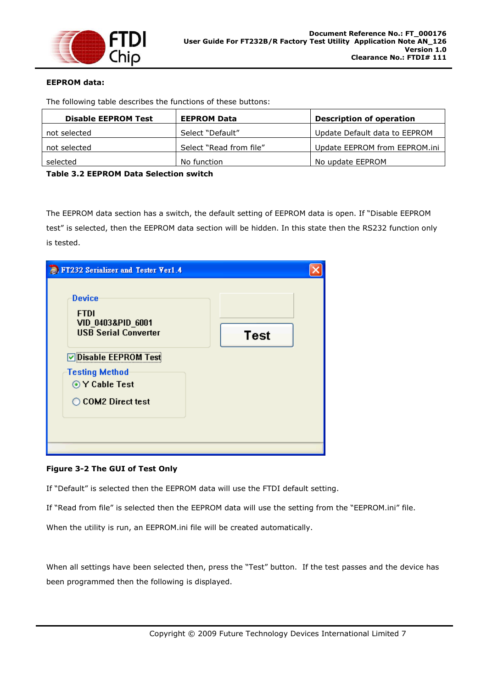

## **EEPROM data:**

The following table describes the functions of these buttons:

| <b>Disable EEPROM Test</b> | <b>EEPROM Data</b>      | <b>Description of operation</b> |
|----------------------------|-------------------------|---------------------------------|
| not selected               | Select "Default"        | Update Default data to EEPROM   |
| not selected               | Select "Read from file" | Update EEPROM from EEPROM.ini   |
| selected                   | No function             | No update EEPROM                |

**Table 3.2 EEPROM Data Selection switch** 

The EEPROM data section has a switch, the default setting of EEPROM data is open. If "Disable EEPROM test" is selected, then the EEPROM data section will be hidden. In this state then the RS232 function only is tested.

| <b>E.</b> FT232 Serializer and Tester Ver1.4                                     |             |
|----------------------------------------------------------------------------------|-------------|
| <b>Device</b><br><b>FTDI</b><br>VID 0403&PID_6001<br><b>USB Serial Converter</b> | <b>Test</b> |
| <b>▽ Disable EEPROM Test</b>                                                     |             |
| <b>Testing Method</b><br>⊙ Y Cable Test<br>◯ COM2 Direct test                    |             |
|                                                                                  |             |

### **Figure 3-2 The GUI of Test Only**

If "Default" is selected then the EEPROM data will use the FTDI default setting.

If "Read from file" is selected then the EEPROM data will use the setting from the "EEPROM.ini" file.

When the utility is run, an EEPROM.ini file will be created automatically.

When all settings have been selected then, press the "Test" button. If the test passes and the device has been programmed then the following is displayed.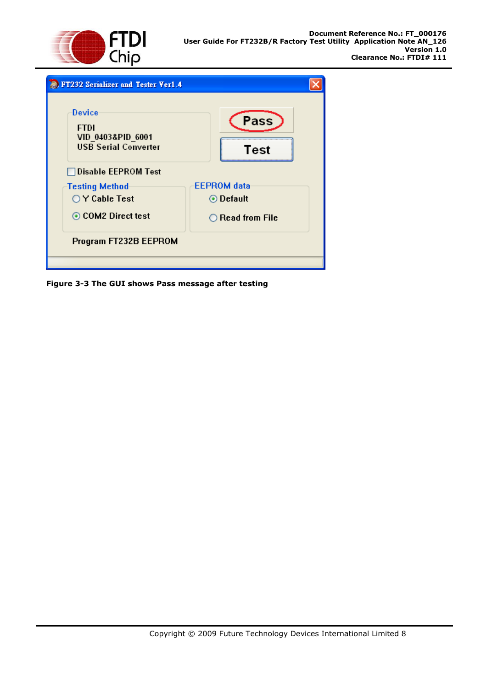



**Figure 3-3 The GUI shows Pass message after testing**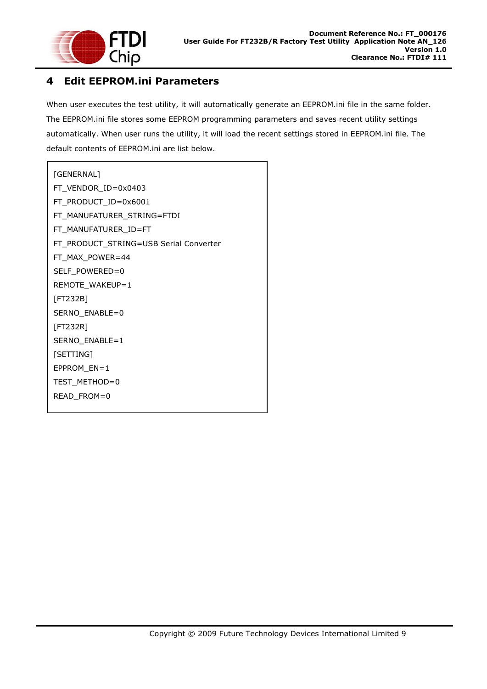

## **4 Edit EEPROM.ini Parameters**

When user executes the test utility, it will automatically generate an EEPROM.ini file in the same folder. The EEPROM.ini file stores some EEPROM programming parameters and saves recent utility settings automatically. When user runs the utility, it will load the recent settings stored in EEPROM.ini file. The default contents of EEPROM.ini are list below.

```
[GENERNAL] 
FT_VENDOR_ID=0x0403 
FT_PRODUCT_ID=0x6001 
FT_MANUFATURER_STRING=FTDI 
FT_MANUFATURER_ID=FT 
FT_PRODUCT_STRING=USB Serial Converter 
FT_MAX_POWER=44 
SELF_POWERED=0 
REMOTE_WAKEUP=1 
[FT232B] 
SERNO_ENABLE=0
[FT232R] 
SERNO_ENABLE=1 
[SETTING] 
EPPROM_EN=1 
TEST_METHOD=0
READ_FROM=0
```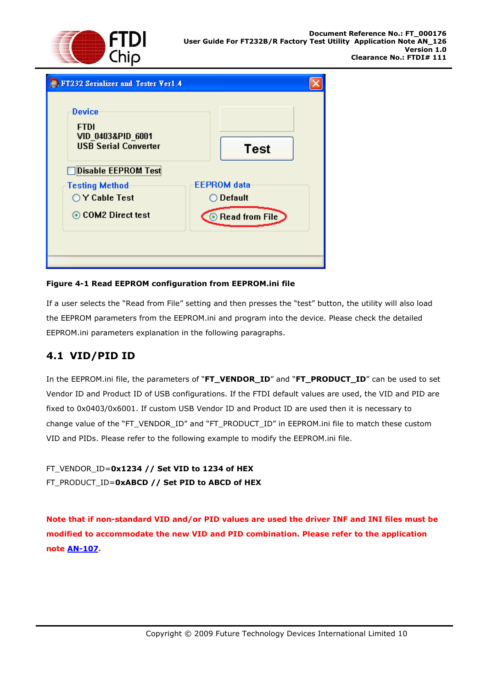

| <b>FI232 Serializer and Tester Verl.4</b>                                        |                                  |
|----------------------------------------------------------------------------------|----------------------------------|
| <b>Device</b><br><b>FTDI</b><br>VID 0403&PID_6001<br><b>USB Serial Converter</b> | <b>Test</b>                      |
| <b>Disable EEPROM Test</b>                                                       |                                  |
| <b>Testing Method</b>                                                            | <b>EEPROM</b> data               |
| $\bigcirc$ Y Cable Test                                                          | $\bigcirc$ Default               |
| ⊙ COM2 Direct test                                                               | <b>Example 18 Read from File</b> |
|                                                                                  |                                  |
|                                                                                  |                                  |

## **Figure 4-1 Read EEPROM configuration from EEPROM.ini file**

If a user selects the "Read from File" setting and then presses the "test" button, the utility will also load the EEPROM parameters from the EEPROM.ini and program into the device. Please check the detailed EEPROM.ini parameters explanation in the following paragraphs.

## **4.1 VID/PID ID**

In the EEPROM.ini file, the parameters of "**FT\_VENDOR\_ID**" and "**FT\_PRODUCT\_ID**" can be used to set Vendor ID and Product ID of USB configurations. If the FTDI default values are used, the VID and PID are fixed to 0x0403/0x6001. If custom USB Vendor ID and Product ID are used then it is necessary to change value of the "FT\_VENDOR\_ID" and "FT\_PRODUCT\_ID" in EEPROM.ini file to match these custom VID and PIDs. Please refer to the following example to modify the EEPROM.ini file.

FT\_VENDOR\_ID=**0x1234 // Set VID to 1234 of HEX** FT\_PRODUCT\_ID=**0xABCD // Set PID to ABCD of HEX**

**Note that if non-standard VID and/or PID values are used the driver INF and INI files must be modified to accommodate the new VID and PID combination. Please refer to the application note AN-107.**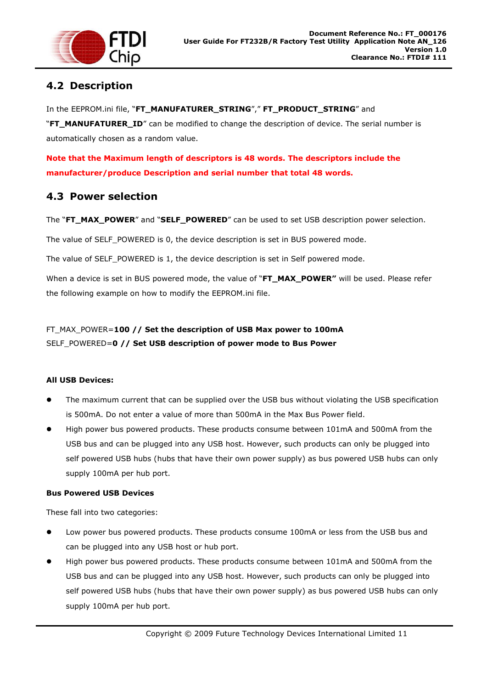

# **4.2 Description**

In the EEPROM.ini file, "**FT\_MANUFATURER\_STRING**"," **FT\_PRODUCT\_STRING**" and "**FT\_MANUFATURER\_ID**" can be modified to change the description of device. The serial number is automatically chosen as a random value.

**Note that the Maximum length of descriptors is 48 words. The descriptors include the manufacturer/produce Description and serial number that total 48 words.**

## **4.3 Power selection**

The "**FT\_MAX\_POWER**" and "**SELF\_POWERED**" can be used to set USB description power selection.

The value of SELF\_POWERED is 0, the device description is set in BUS powered mode.

The value of SELF\_POWERED is 1, the device description is set in Self powered mode.

When a device is set in BUS powered mode, the value of "**FT\_MAX\_POWER"** will be used. Please refer the following example on how to modify the EEPROM.ini file.

## FT\_MAX\_POWER=**100 // Set the description of USB Max power to 100mA**  SELF\_POWERED=**0 // Set USB description of power mode to Bus Power**

### **All USB Devices:**

- The maximum current that can be supplied over the USB bus without violating the USB specification is 500mA. Do not enter a value of more than 500mA in the Max Bus Power field.
- High power bus powered products. These products consume between 101mA and 500mA from the USB bus and can be plugged into any USB host. However, such products can only be plugged into self powered USB hubs (hubs that have their own power supply) as bus powered USB hubs can only supply 100mA per hub port.

## **Bus Powered USB Devices**

These fall into two categories:

- Low power bus powered products. These products consume 100mA or less from the USB bus and can be plugged into any USB host or hub port.
- High power bus powered products. These products consume between 101mA and 500mA from the USB bus and can be plugged into any USB host. However, such products can only be plugged into self powered USB hubs (hubs that have their own power supply) as bus powered USB hubs can only supply 100mA per hub port.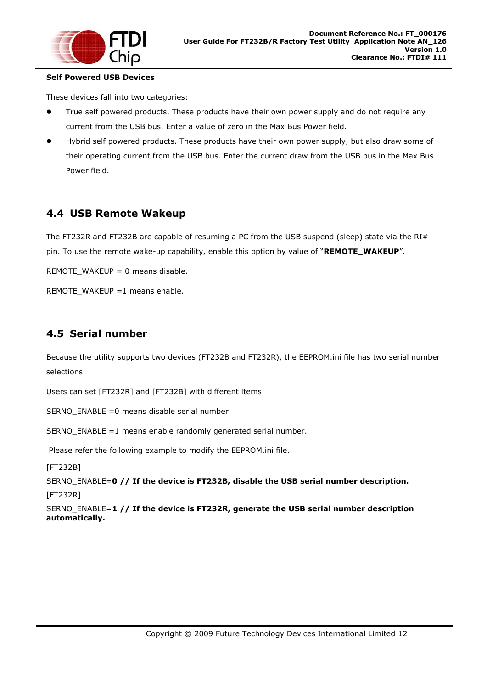

### **Self Powered USB Devices**

These devices fall into two categories:

- True self powered products. These products have their own power supply and do not require any current from the USB bus. Enter a value of zero in the Max Bus Power field.
- Hybrid self powered products. These products have their own power supply, but also draw some of their operating current from the USB bus. Enter the current draw from the USB bus in the Max Bus Power field.

## **4.4 USB Remote Wakeup**

The FT232R and FT232B are capable of resuming a PC from the USB suspend (sleep) state via the RI# pin. To use the remote wake-up capability, enable this option by value of "**REMOTE\_WAKEUP**".

REMOTE\_WAKEUP = 0 means disable.

REMOTE\_WAKEUP =1 means enable.

## **4.5 Serial number**

Because the utility supports two devices (FT232B and FT232R), the EEPROM.ini file has two serial number selections.

Users can set [FT232R] and [FT232B] with different items.

SERNO\_ENABLE =0 means disable serial number

SERNO\_ENABLE =1 means enable randomly generated serial number.

Please refer the following example to modify the EEPROM.ini file.

[FT232B]

SERNO\_ENABLE=**0 // If the device is FT232B, disable the USB serial number description.** [FT232R]

SERNO\_ENABLE=**1 // If the device is FT232R, generate the USB serial number description automatically.**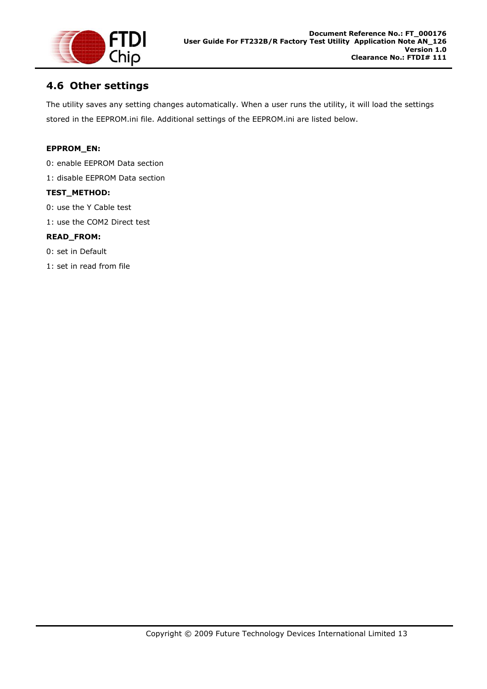

## **4.6 Other settings**

The utility saves any setting changes automatically. When a user runs the utility, it will load the settings stored in the EEPROM.ini file. Additional settings of the EEPROM.ini are listed below.

## **EPPROM\_EN:**

- 0: enable EEPROM Data section
- 1: disable EEPROM Data section

### **TEST\_METHOD:**

- 0: use the Y Cable test
- 1: use the COM2 Direct test

### **READ\_FROM:**

0: set in Default

1: set in read from file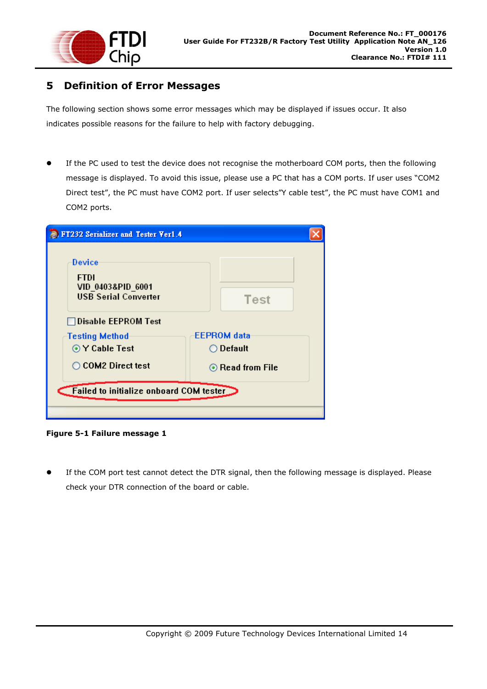

## **5 Definition of Error Messages**

The following section shows some error messages which may be displayed if issues occur. It also indicates possible reasons for the failure to help with factory debugging.

 If the PC used to test the device does not recognise the motherboard COM ports, then the following message is displayed. To avoid this issue, please use a PC that has a COM ports. If user uses "COM2 Direct test", the PC must have COM2 port. If user selects"Y cable test", the PC must have COM1 and COM2 ports.

| Device<br><b>FTDI</b><br>VID 0403&PID 6001<br><b>USB Serial Converter</b> | Test                   |
|---------------------------------------------------------------------------|------------------------|
| Disable EEPROM Test                                                       |                        |
| <b>Testing Method</b>                                                     | <b>EEPROM</b> data     |
| ⊙ Y Cable Test                                                            | ○ Default              |
| ◯ COM2 Direct test                                                        | $\odot$ Read from File |
| <b>Failed to initialize onboard COM tester</b>                            |                        |

**Figure 5-1 Failure message 1** 

 If the COM port test cannot detect the DTR signal, then the following message is displayed. Please check your DTR connection of the board or cable.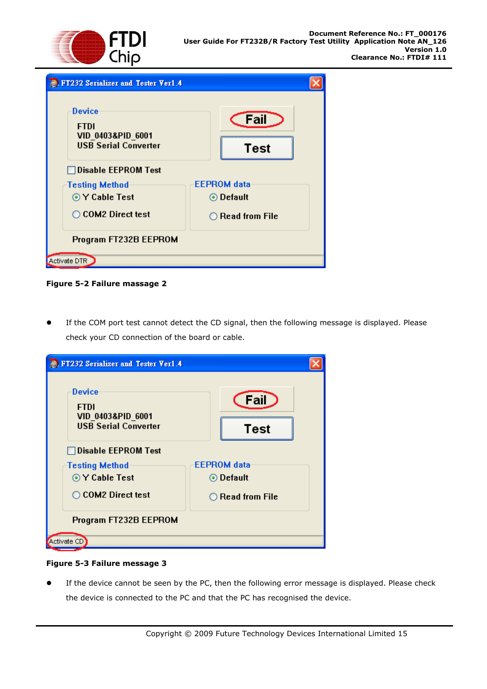



**Figure 5-2 Failure massage 2** 

 If the COM port test cannot detect the CD signal, then the following message is displayed. Please check your CD connection of the board or cable.

| <b>E.</b> FT232 Serializer and Tester Ver1.4                                         |                           |
|--------------------------------------------------------------------------------------|---------------------------|
| Device<br><b>FTDI</b><br><b>VID 0403&amp;PID 6001</b><br><b>USB Serial Converter</b> | Fail<br>Test              |
| <b>Disable EEPROM Test</b>                                                           |                           |
| <b>Testing Method</b>                                                                | <b>EEPROM</b> data        |
| ⊙ Y Cable Test                                                                       | ⊙ Default                 |
| ◯ COM2 Direct test                                                                   | $\bigcirc$ Read from File |
| Program FT232B EEPROM                                                                |                           |
| Activate CD                                                                          |                           |

## **Figure 5-3 Failure message 3**

 If the device cannot be seen by the PC, then the following error message is displayed. Please check the device is connected to the PC and that the PC has recognised the device.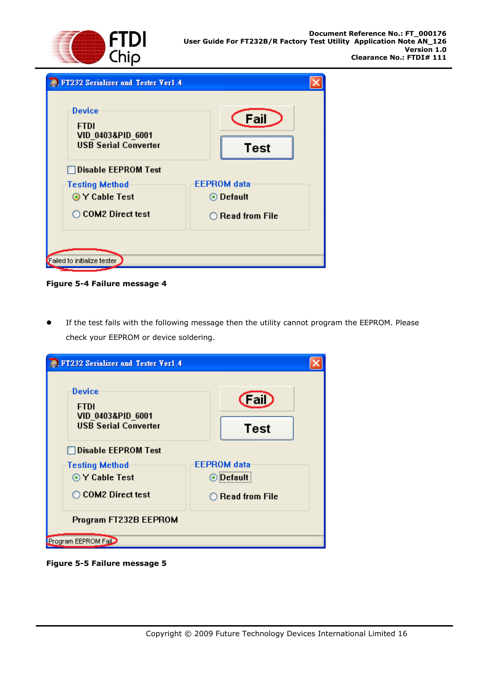



**Figure 5-4 Failure message 4** 

 If the test fails with the following message then the utility cannot program the EEPROM. Please check your EEPROM or device soldering.

| FT232 Serializer and Tester Ver1.4                                        |                           |
|---------------------------------------------------------------------------|---------------------------|
| Device<br><b>FTDI</b><br>VID 0403&PID 6001<br><b>USB Serial Converter</b> | (Fail)<br><b>Test</b>     |
| □Disable EEPROM Test                                                      |                           |
| <b>Testing Method</b>                                                     | <b>EEPROM</b> data        |
| ⊙ Y Cable Test                                                            | ⊙ Default                 |
| ◯ COM2 Direct test                                                        | $\bigcirc$ Read from File |
| Program FT232B EEPROM                                                     |                           |
| Program EEPROM Fail                                                       |                           |

**Figure 5-5 Failure message 5**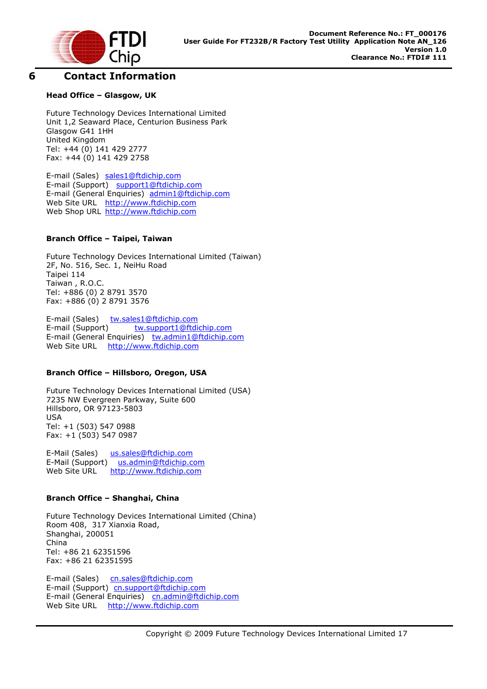

## **6 Contact Information**

## **Head Office – Glasgow, UK**

Future Technology Devices International Limited Unit 1,2 Seaward Place, Centurion Business Park Glasgow G41 1HH United Kingdom Tel: +44 (0) 141 429 2777 Fax: +44 (0) 141 429 2758

E-mail (Sales) sales1@ftdichip.com E-mail (Support) support1@ftdichip.com E-mail (General Enquiries) admin1@ftdichip.com Web Site URL http://www.ftdichip.com Web Shop URL http://www.ftdichip.com

## **Branch Office – Taipei, Taiwan**

Future Technology Devices International Limited (Taiwan) 2F, No. 516, Sec. 1, NeiHu Road Taipei 114 Taiwan , R.O.C. Tel: +886 (0) 2 8791 3570 Fax: +886 (0) 2 8791 3576

E-mail (Sales) tw.sales1@ftdichip.com E-mail (Support) tw.support1@ftdichip.com E-mail (General Enquiries) tw.admin1@ftdichip.com Web Site URL http://www.ftdichip.com

### **Branch Office – Hillsboro, Oregon, USA**

Future Technology Devices International Limited (USA) 7235 NW Evergreen Parkway, Suite 600 Hillsboro, OR 97123-5803 USA Tel: +1 (503) 547 0988 Fax: +1 (503) 547 0987

E-Mail (Sales) us.sales@ftdichip.com E-Mail (Support) us.admin@ftdichip.com Web Site URL http://www.ftdichip.com

### **Branch Office – Shanghai, China**

Future Technology Devices International Limited (China) Room 408, 317 Xianxia Road, Shanghai, 200051 China Tel: +86 21 62351596 Fax: +86 21 62351595

E-mail (Sales) cn.sales@ftdichip.com E-mail (Support)cn.support@ftdichip.com E-mail (General Enquiries) cn.admin@ftdichip.com Web Site URL http://www.ftdichip.com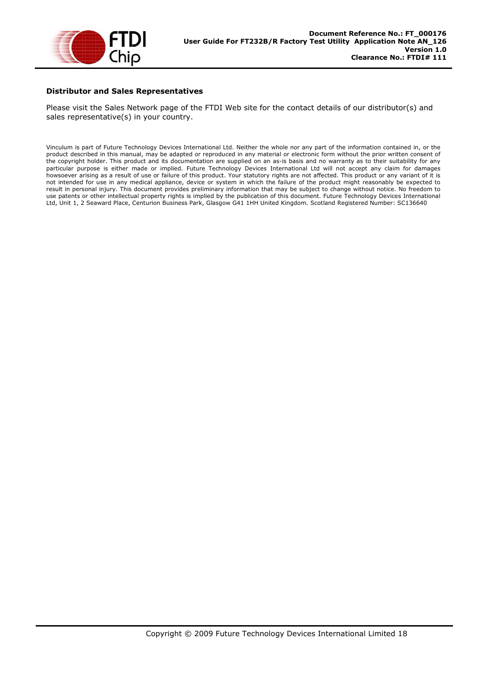

#### **Distributor and Sales Representatives**

Please visit the Sales Network page of the FTDI Web site for the contact details of our distributor(s) and sales representative(s) in your country.

Vinculum is part of Future Technology Devices International Ltd. Neither the whole nor any part of the information contained in, or the product described in this manual, may be adapted or reproduced in any material or electronic form without the prior written consent of the copyright holder. This product and its documentation are supplied on an as-is basis and no warranty as to their suitability for any particular purpose is either made or implied. Future Technology Devices International Ltd will not accept any claim for damages howsoever arising as a result of use or failure of this product. Your statutory rights are not affected. This product or any variant of it is not intended for use in any medical appliance, device or system in which the failure of the product might reasonably be expected to result in personal injury. This document provides preliminary information that may be subject to change without notice. No freedom to use patents or other intellectual property rights is implied by the publication of this document. Future Technology Devices International Ltd, Unit 1, 2 Seaward Place, Centurion Business Park, Glasgow G41 1HH United Kingdom. Scotland Registered Number: SC136640